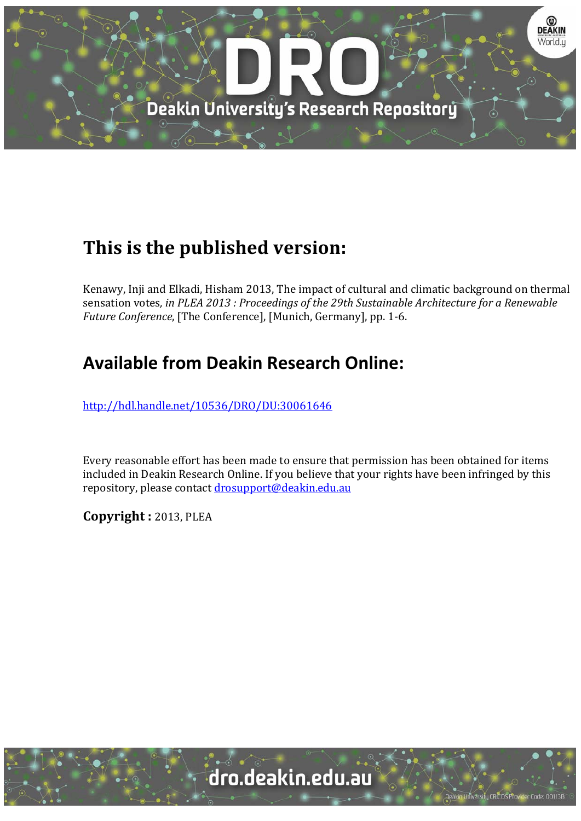

# **This is the published version:**

Kenawy, Inji and Elkadi, Hisham 2013, The impact of cultural and climatic background on thermal sensation votes*, in PLEA 2013 : Proceedings of the 29th Sustainable Architecture for a Renewable Future Conference*, [The Conference], [Munich, Germany], pp. 1-6.

# **Available from Deakin Research Online:**

http://hdl.handle.net/10536/DRO/DU:30061646

Every reasonable effort has been made to ensure that permission has been obtained for items included in Deakin Research Online. If you believe that your rights have been infringed by this repository, please contact drosupport@deakin.edu.au

**Copyright :** 2013, PLEA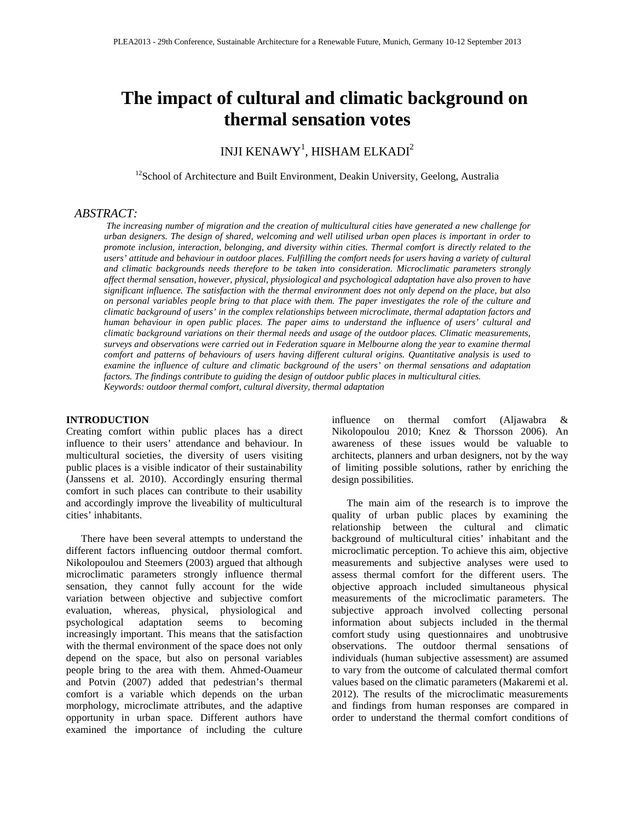# **The impact of cultural and climatic background on thermal sensation votes**

INJI KENAWY $^{\rm l}$ , HISHAM ELKADI $^{\rm 2}$ 

 $12$ School of Architecture and Built Environment, Deakin University, Geelong, Australia

## *ABSTRACT:*

*The increasing number of migration and the creation of multicultural cities have generated a new challenge for urban designers. The design of shared, welcoming and well utilised urban open places is important in order to promote inclusion, interaction, belonging, and diversity within cities. Thermal comfort is directly related to the users' attitude and behaviour in outdoor places. Fulfilling the comfort needs for users having a variety of cultural and climatic backgrounds needs therefore to be taken into consideration. Microclimatic parameters strongly affect thermal sensation, however, physical, physiological and psychological adaptation have also proven to have significant influence. The satisfaction with the thermal environment does not only depend on the place, but also on personal variables people bring to that place with them. The paper investigates the role of the culture and climatic background of users' in the complex relationships between microclimate, thermal adaptation factors and human behaviour in open public places. The paper aims to understand the influence of users' cultural and climatic background variations on their thermal needs and usage of the outdoor places. Climatic measurements, surveys and observations were carried out in Federation square in Melbourne along the year to examine thermal comfort and patterns of behaviours of users having different cultural origins. Quantitative analysis is used to examine the influence of culture and climatic background of the users' on thermal sensations and adaptation factors. The findings contribute to guiding the design of outdoor public places in multicultural cities. Keywords: outdoor thermal comfort, cultural diversity, thermal adaptation* 

#### **INTRODUCTION**

Creating comfort within public places has a direct influence to their users' attendance and behaviour. In multicultural societies, the diversity of users visiting public places is a visible indicator of their sustainability (Janssens et al. 2010). Accordingly ensuring thermal comfort in such places can contribute to their usability and accordingly improve the liveability of multicultural cities' inhabitants.

There have been several attempts to understand the different factors influencing outdoor thermal comfort. Nikolopoulou and Steemers (2003) argued that although microclimatic parameters strongly influence thermal sensation, they cannot fully account for the wide variation between objective and subjective comfort evaluation, whereas, physical, physiological and psychological adaptation seems to becoming increasingly important. This means that the satisfaction with the thermal environment of the space does not only depend on the space, but also on personal variables people bring to the area with them. Ahmed-Ouameur and Potvin (2007) added that pedestrian's thermal comfort is a variable which depends on the urban morphology, microclimate attributes, and the adaptive opportunity in urban space. Different authors have examined the importance of including the culture

influence on thermal comfort (Aljawabra & Nikolopoulou 2010; Knez & Thorsson 2006). An awareness of these issues would be valuable to architects, planners and urban designers, not by the way of limiting possible solutions, rather by enriching the design possibilities.

The main aim of the research is to improve the quality of urban public places by examining the relationship between the cultural and climatic background of multicultural cities' inhabitant and the microclimatic perception. To achieve this aim, objective measurements and subjective analyses were used to assess thermal comfort for the different users. The objective approach included simultaneous physical measurements of the microclimatic parameters. The subjective approach involved collecting personal information about subjects included in the thermal comfort study using questionnaires and unobtrusive observations. The outdoor thermal sensations of individuals (human subjective assessment) are assumed to vary from the outcome of calculated thermal comfort values based on the climatic parameters (Makaremi et al. 2012). The results of the microclimatic measurements and findings from human responses are compared in order to understand the thermal comfort conditions of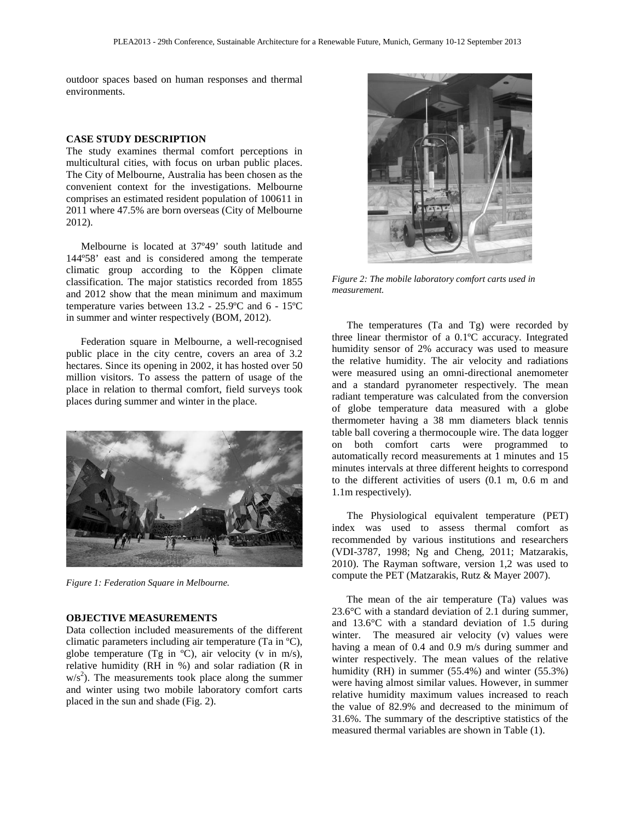outdoor spaces based on human responses and thermal environments.

#### **CASE STUDY DESCRIPTION**

The study examines thermal comfort perceptions in multicultural cities, with focus on urban public places. The City of Melbourne, Australia has been chosen as the convenient context for the investigations. Melbourne comprises an estimated resident population of 100611 in 2011 where 47.5% are born overseas (City of Melbourne 2012).

Melbourne is located at 37º49' south latitude and 144º58' east and is considered among the temperate climatic group according to the Köppen climate classification. The major statistics recorded from 1855 and 2012 show that the mean minimum and maximum temperature varies between 13.2 - 25.9ºC and 6 - 15ºC in summer and winter respectively (BOM, 2012).

Federation square in Melbourne, a well-recognised public place in the city centre, covers an area of 3.2 hectares. Since its opening in 2002, it has hosted over 50 million visitors. To assess the pattern of usage of the place in relation to thermal comfort, field surveys took places during summer and winter in the place.



*Figure 1: Federation Square in Melbourne.*

#### **OBJECTIVE MEASUREMENTS**

Data collection included measurements of the different climatic parameters including air temperature (Ta in ºC), globe temperature (Tg in  $^{\circ}$ C), air velocity (v in m/s), relative humidity (RH in %) and solar radiation (R in  $w/s<sup>2</sup>$ ). The measurements took place along the summer and winter using two mobile laboratory comfort carts placed in the sun and shade (Fig. 2).



*Figure 2: The mobile laboratory comfort carts used in measurement.*

The temperatures (Ta and Tg) were recorded by three linear thermistor of a 0.1ºC accuracy. Integrated humidity sensor of 2% accuracy was used to measure the relative humidity. The air velocity and radiations were measured using an omni-directional anemometer and a standard pyranometer respectively. The mean radiant temperature was calculated from the conversion of globe temperature data measured with a globe thermometer having a 38 mm diameters black tennis table ball covering a thermocouple wire. The data logger on both comfort carts were programmed to automatically record measurements at 1 minutes and 15 minutes intervals at three different heights to correspond to the different activities of users (0.1 m, 0.6 m and 1.1m respectively).

The Physiological equivalent temperature (PET) index was used to assess thermal comfort as recommended by various institutions and researchers (VDI-3787, 1998; Ng and Cheng, 2011; Matzarakis, 2010). The Rayman software, version 1,2 was used to compute the PET (Matzarakis, Rutz & Mayer 2007).

The mean of the air temperature (Ta) values was 23.6°C with a standard deviation of 2.1 during summer, and 13.6°C with a standard deviation of 1.5 during winter. The measured air velocity (v) values were having a mean of 0.4 and 0.9 m/s during summer and winter respectively. The mean values of the relative humidity (RH) in summer (55.4%) and winter (55.3%) were having almost similar values. However, in summer relative humidity maximum values increased to reach the value of 82.9% and decreased to the minimum of 31.6%. The summary of the descriptive statistics of the measured thermal variables are shown in Table (1).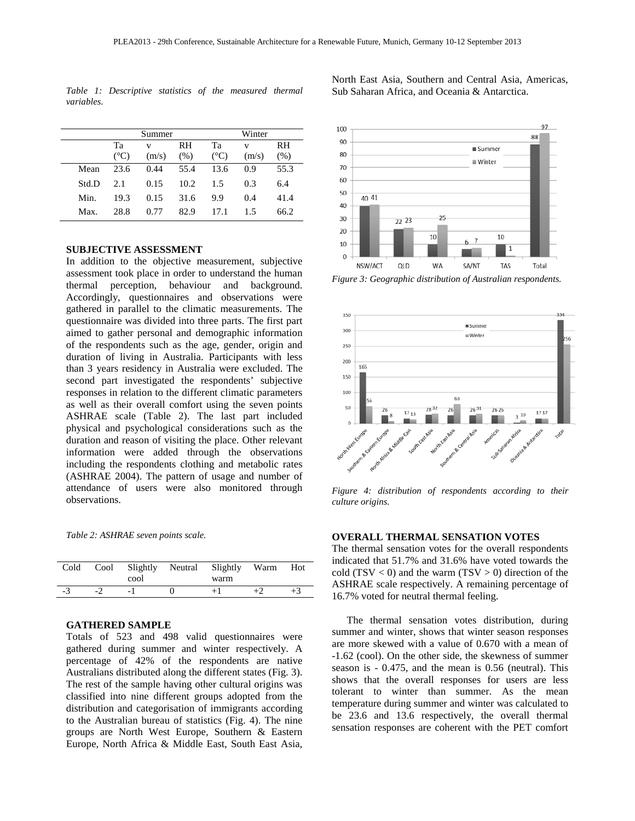*Table 1: Descriptive statistics of the measured thermal variables.* 

Summer Winter Ta  $(^{\circ}C)$ v  $(m/s)$ RH  $(%)$ Ta  $(^{\circ}C)$ v  $(m/s)$ RH  $(% )$ Mean 23.6 0.44 55.4 13.6 0.9 55.3 Std.D 2.1 0.15 10.2 1.5 0.3 6.4 Min. 19.3 0.15 31.6 9.9 0.4 41.4

Max. 28.8 0.77 82.9 17.1 1.5 66.2

#### **SUBJECTIVE ASSESSMENT**

In addition to the objective measurement, subjective assessment took place in order to understand the human thermal perception, behaviour and background. Accordingly, questionnaires and observations were gathered in parallel to the climatic measurements. The questionnaire was divided into three parts. The first part aimed to gather personal and demographic information of the respondents such as the age, gender, origin and duration of living in Australia. Participants with less than 3 years residency in Australia were excluded. The second part investigated the respondents' subjective responses in relation to the different climatic parameters as well as their overall comfort using the seven points ASHRAE scale (Table 2). The last part included physical and psychological considerations such as the duration and reason of visiting the place. Other relevant information were added through the observations including the respondents clothing and metabolic rates (ASHRAE 2004). The pattern of usage and number of attendance of users were also monitored through observations.

*Table 2: ASHRAE seven points scale.*

| Cold | cool | Cool Slightly Neutral Slightly Warm<br>warm | Hot  |
|------|------|---------------------------------------------|------|
| -3   |      |                                             | $+3$ |

#### **GATHERED SAMPLE**

Totals of 523 and 498 valid questionnaires were gathered during summer and winter respectively. A percentage of 42% of the respondents are native Australians distributed along the different states (Fig. 3). The rest of the sample having other cultural origins was classified into nine different groups adopted from the distribution and categorisation of immigrants according to the Australian bureau of statistics (Fig. 4). The nine groups are North West Europe, Southern & Eastern Europe, North Africa & Middle East, South East Asia,



*Figure 3: Geographic distribution of Australian respondents.*



*Figure 4: distribution of respondents according to their culture origins.*

### **OVERALL THERMAL SENSATION VOTES**

The thermal sensation votes for the overall respondents indicated that 51.7% and 31.6% have voted towards the cold (TSV  $<$  0) and the warm (TSV  $>$  0) direction of the ASHRAE scale respectively. A remaining percentage of 16.7% voted for neutral thermal feeling.

The thermal sensation votes distribution, during summer and winter, shows that winter season responses are more skewed with a value of 0.670 with a mean of -1.62 (cool). On the other side, the skewness of summer season is - 0.475, and the mean is 0.56 (neutral). This shows that the overall responses for users are less tolerant to winter than summer. As the mean temperature during summer and winter was calculated to be 23.6 and 13.6 respectively, the overall thermal sensation responses are coherent with the PET comfort

North East Asia, Southern and Central Asia, Americas, Sub Saharan Africa, and Oceania & Antarctica.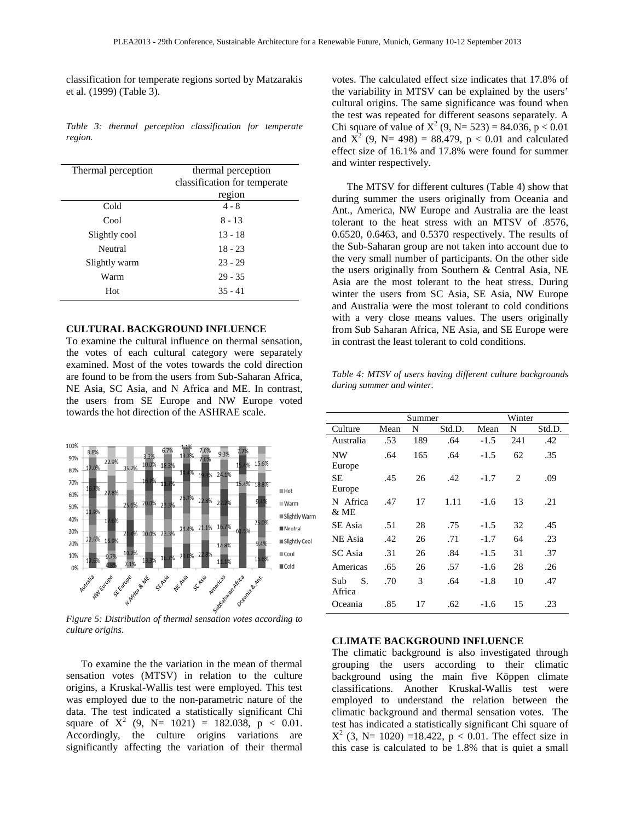classification for temperate regions sorted by Matzarakis et al. (1999) (Table 3).

*Table 3: thermal perception classification for temperate region.*

| Thermal perception | thermal perception           |  |  |
|--------------------|------------------------------|--|--|
|                    | classification for temperate |  |  |
|                    | region                       |  |  |
| Cold               | $4 - 8$                      |  |  |
| Cool               | $8 - 13$                     |  |  |
| Slightly cool      | $13 - 18$                    |  |  |
| Neutral            | $18 - 23$                    |  |  |
| Slightly warm      | $23 - 29$                    |  |  |
| Warm               | $29 - 35$                    |  |  |
| Hot                | $35 - 41$                    |  |  |

## **CULTURAL BACKGROUND INFLUENCE**

To examine the cultural influence on thermal sensation, the votes of each cultural category were separately examined. Most of the votes towards the cold direction are found to be from the users from Sub-Saharan Africa, NE Asia, SC Asia, and N Africa and ME. In contrast, the users from SE Europe and NW Europe voted towards the hot direction of the ASHRAE scale.



*culture origins.*

To examine the the variation in the mean of thermal sensation votes (MTSV) in relation to the culture origins, a Kruskal-Wallis test were employed. This test was employed due to the non-parametric nature of the data. The test indicated a statistically significant Chi square of  $X^2$  (9, N= 1021) = 182.038, p < 0.01. Accordingly, the culture origins variations are significantly affecting the variation of their thermal

votes. The calculated effect size indicates that 17.8% of the variability in MTSV can be explained by the users' cultural origins. The same significance was found when the test was repeated for different seasons separately. A Chi square of value of  $X^2$  (9, N= 523) = 84.036, p < 0.01 and  $\overline{X}^2$  (9, N= 498) = 88.479, p < 0.01 and calculated effect size of 16.1% and 17.8% were found for summer and winter respectively.

The MTSV for different cultures (Table 4) show that during summer the users originally from Oceania and Ant., America, NW Europe and Australia are the least tolerant to the heat stress with an MTSV of .8576, 0.6520, 0.6463, and 0.5370 respectively. The results of the Sub-Saharan group are not taken into account due to the very small number of participants. On the other side the users originally from Southern & Central Asia, NE Asia are the most tolerant to the heat stress. During winter the users from SC Asia, SE Asia, NW Europe and Australia were the most tolerant to cold conditions with a very close means values. The users originally from Sub Saharan Africa, NE Asia, and SE Europe were in contrast the least tolerant to cold conditions.

*Table 4: MTSV of users having different culture backgrounds during summer and winter.* 

|                     |      | Summer |        |        | Winter |        |
|---------------------|------|--------|--------|--------|--------|--------|
| Culture             | Mean | N      | Std.D. | Mean   | N      | Std.D. |
| Australia           | .53  | 189    | .64    | $-1.5$ | 241    | .42    |
| NW                  | .64  | 165    | .64    | $-1.5$ | 62     | .35    |
| Europe              |      |        |        |        |        |        |
| SE<br>Europe        | .45  | 26     | .42    | $-1.7$ | 2      | .09    |
| N Africa<br>& ME    | .47  | 17     | 1.11   | $-1.6$ | 13     | .21    |
| SE Asia             | .51  | 28     | .75    | $-1.5$ | 32     | .45    |
| NE Asia             | .42  | 26     | .71    | $-1.7$ | 64     | .23    |
| <b>SC</b> Asia      | .31  | 26     | .84    | $-1.5$ | 31     | .37    |
| Americas            | .65  | 26     | .57    | $-1.6$ | 28     | .26    |
| S.<br>Sub<br>Africa | .70  | 3      | .64    | $-1.8$ | 10     | .47    |
| Oceania             | .85  | 17     | .62    | $-1.6$ | 15     | .23    |

#### **CLIMATE BACKGROUND INFLUENCE**

The climatic background is also investigated through grouping the users according to their climatic background using the main five Köppen climate classifications. Another Kruskal-Wallis test were employed to understand the relation between the climatic background and thermal sensation votes. The test has indicated a statistically significant Chi square of  $X^2$  (3, N= 1020) =18.422, p < 0.01. The effect size in this case is calculated to be 1.8% that is quiet a small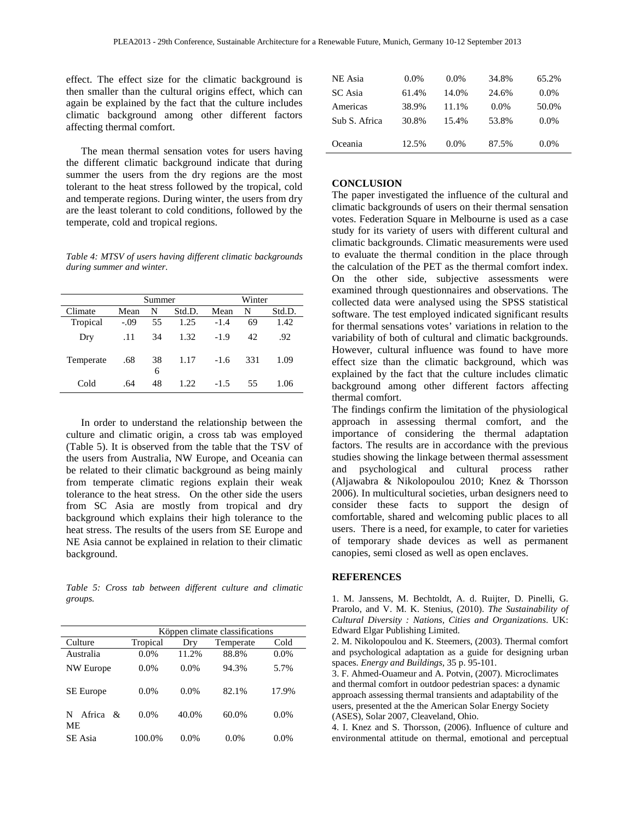effect. The effect size for the climatic background is then smaller than the cultural origins effect, which can again be explained by the fact that the culture includes climatic background among other different factors affecting thermal comfort.

The mean thermal sensation votes for users having the different climatic background indicate that during summer the users from the dry regions are the most tolerant to the heat stress followed by the tropical, cold and temperate regions. During winter, the users from dry are the least tolerant to cold conditions, followed by the temperate, cold and tropical regions.

*Table 4: MTSV of users having different climatic backgrounds during summer and winter.* 

|           |        | Summer  |        |        | Winter |        |
|-----------|--------|---------|--------|--------|--------|--------|
| Climate   | Mean   | N       | Std.D. | Mean   | N      | Std.D. |
| Tropical  | $-.09$ | 55      | 1.25   | $-1.4$ | 69     | 1.42   |
| Dry       | .11    | 34      | 1.32   | $-1.9$ | 42     | .92    |
| Temperate | .68    | 38<br>6 | 1.17   | $-1.6$ | 331    | 1.09   |
| Cold      | .64    | 48      | 1.22.  | $-1.5$ | 55     | 1.06   |

In order to understand the relationship between the culture and climatic origin, a cross tab was employed (Table 5). It is observed from the table that the TSV of the users from Australia, NW Europe, and Oceania can be related to their climatic background as being mainly from temperate climatic regions explain their weak tolerance to the heat stress. On the other side the users from SC Asia are mostly from tropical and dry background which explains their high tolerance to the heat stress. The results of the users from SE Europe and NE Asia cannot be explained in relation to their climatic background.

*Table 5: Cross tab between different culture and climatic groups.* 

|                                    | Köppen climate classifications |         |           |         |  |
|------------------------------------|--------------------------------|---------|-----------|---------|--|
| Culture                            | Tropical                       | Drv     | Temperate | Cold    |  |
| Australia                          | 0.0%                           | 11.2%   | 88.8%     | 0.0%    |  |
| NW Europe                          | $0.0\%$                        | $0.0\%$ | 94.3%     | 5.7%    |  |
| <b>SE</b> Europe                   | 0.0%                           | 0.0%    | 82.1%     | 17.9%   |  |
| Africa<br>N<br>$\mathcal{R}$<br>МE | 0.0%                           | 40.0%   | 60.0%     | 0.0%    |  |
| SE Asia                            | 100.0%                         | $0.0\%$ | $0.0\%$   | $0.0\%$ |  |

| NE Asia       | $0.0\%$ | $0.0\%$ | 34.8%   | 65.2%   |
|---------------|---------|---------|---------|---------|
| SC Asia       | 61.4%   | 14.0%   | 24.6%   | $0.0\%$ |
| Americas      | 38.9%   | 11.1%   | $0.0\%$ | 50.0%   |
| Sub S. Africa | 30.8%   | 15.4%   | 53.8%   | $0.0\%$ |
|               |         |         |         |         |
| Oceania       | 12.5%   | $0.0\%$ | 87.5%   | $0.0\%$ |

#### **CONCLUSION**

The paper investigated the influence of the cultural and climatic backgrounds of users on their thermal sensation votes. Federation Square in Melbourne is used as a case study for its variety of users with different cultural and climatic backgrounds. Climatic measurements were used to evaluate the thermal condition in the place through the calculation of the PET as the thermal comfort index. On the other side, subjective assessments were examined through questionnaires and observations. The collected data were analysed using the SPSS statistical software. The test employed indicated significant results for thermal sensations votes' variations in relation to the variability of both of cultural and climatic backgrounds. However, cultural influence was found to have more effect size than the climatic background, which was explained by the fact that the culture includes climatic background among other different factors affecting thermal comfort.

The findings confirm the limitation of the physiological approach in assessing thermal comfort, and the importance of considering the thermal adaptation factors. The results are in accordance with the previous studies showing the linkage between thermal assessment and psychological and cultural process rather (Aljawabra & Nikolopoulou 2010; Knez & Thorsson 2006). In multicultural societies, urban designers need to consider these facts to support the design of comfortable, shared and welcoming public places to all users. There is a need, for example, to cater for varieties of temporary shade devices as well as permanent canopies, semi closed as well as open enclaves.

#### **REFERENCES**

1. M. Janssens, M. Bechtoldt, A. d. Ruijter, D. Pinelli, G. Prarolo, and V. M. K. Stenius, (2010). *The Sustainability of Cultural Diversity : Nations, Cities and Organizations*. UK: Edward Elgar Publishing Limited.

2. M. Nikolopoulou and K. Steemers, (2003). Thermal comfort and psychological adaptation as a guide for designing urban spaces. *Energy and Buildings,* 35 p. 95-101.

3. F. Ahmed-Ouameur and A. Potvin, (2007). Microclimates and thermal comfort in outdoor pedestrian spaces: a dynamic approach assessing thermal transients and adaptability of the users, presented at the the American Solar Energy Society (ASES), Solar 2007, Cleaveland, Ohio.

4. I. Knez and S. Thorsson, (2006). Influence of culture and environmental attitude on thermal, emotional and perceptual